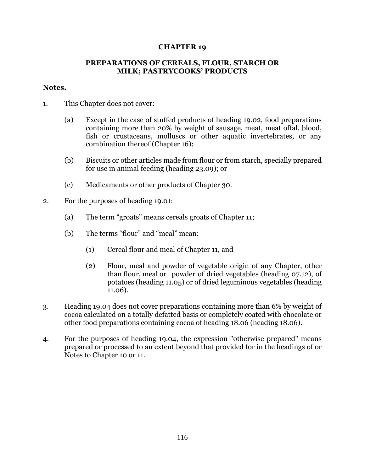## **CHAPTER 19**

## **PREPARATIONS OF CEREALS, FLOUR, STARCH OR MILK; PASTRYCOOKS' PRODUCTS**

## **Notes.**

- 1. This Chapter does not cover:
	- (a) Except in the case of stuffed products of heading 19.02, food preparations containing more than 20% by weight of sausage, meat, meat offal, blood, fish or crustaceans, molluscs or other aquatic invertebrates, or any combination thereof (Chapter 16);
	- (b) Biscuits or other articles made from flour or from starch, specially prepared for use in animal feeding (heading 23.09); or
	- (c) Medicaments or other products of Chapter 30.
- 2. For the purposes of heading 19.01:
	- (a) The term "groats" means cereals groats of Chapter 11;
	- (b) The terms "flour" and "meal" mean:
		- (1) Cereal flour and meal of Chapter 11, and
		- (2) Flour, meal and powder of vegetable origin of any Chapter, other than flour, meal or powder of dried vegetables (heading 07.12), of potatoes (heading 11.05) or of dried leguminous vegetables (heading 11.06).
- 3. Heading 19.04 does not cover preparations containing more than 6% by weight of cocoa calculated on a totally defatted basis or completely coated with chocolate or other food preparations containing cocoa of heading 18.06 (heading 18.06).
- 4. For the purposes of heading 19.04, the expression "otherwise prepared" means prepared or processed to an extent beyond that provided for in the headings of or Notes to Chapter 10 or 11.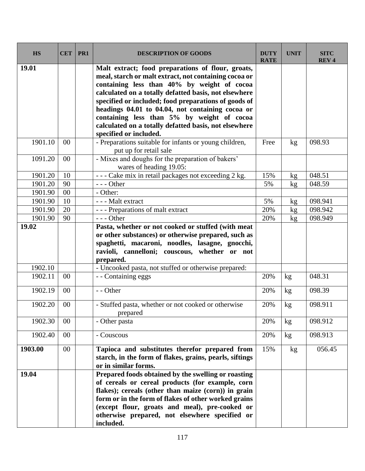| <b>HS</b> | <b>CET</b> | PR1 | <b>DESCRIPTION OF GOODS</b>                                                                                                                                                                                                                                                                                                                                                                                                                                     | <b>DUTY</b><br><b>RATE</b> | <b>UNIT</b>     | <b>SITC</b><br><b>REV4</b> |
|-----------|------------|-----|-----------------------------------------------------------------------------------------------------------------------------------------------------------------------------------------------------------------------------------------------------------------------------------------------------------------------------------------------------------------------------------------------------------------------------------------------------------------|----------------------------|-----------------|----------------------------|
| 19.01     |            |     | Malt extract; food preparations of flour, groats,<br>meal, starch or malt extract, not containing cocoa or<br>containing less than 40% by weight of cocoa<br>calculated on a totally defatted basis, not elsewhere<br>specified or included; food preparations of goods of<br>headings 04.01 to 04.04, not containing cocoa or<br>containing less than 5% by weight of cocoa<br>calculated on a totally defatted basis, not elsewhere<br>specified or included. |                            |                 |                            |
| 1901.10   | $00\,$     |     | - Preparations suitable for infants or young children,<br>put up for retail sale                                                                                                                                                                                                                                                                                                                                                                                | Free                       | kg              | 098.93                     |
| 1091.20   | $00\,$     |     | - Mixes and doughs for the preparation of bakers'<br>wares of heading 19.05:                                                                                                                                                                                                                                                                                                                                                                                    |                            |                 |                            |
| 1901.20   | 10         |     | - - - Cake mix in retail packages not exceeding 2 kg.                                                                                                                                                                                                                                                                                                                                                                                                           | 15%                        | kg              | 048.51                     |
| 1901.20   | 90         |     | $--$ Other                                                                                                                                                                                                                                                                                                                                                                                                                                                      | 5%                         | kg              | 048.59                     |
| 1901.90   | 00         |     | - Other:                                                                                                                                                                                                                                                                                                                                                                                                                                                        |                            |                 |                            |
| 1901.90   | 10         |     | --- Malt extract                                                                                                                                                                                                                                                                                                                                                                                                                                                | 5%                         | kg              | 098.941                    |
| 1901.90   | 20         |     | --- Preparations of malt extract                                                                                                                                                                                                                                                                                                                                                                                                                                | 20%                        | kg              | 098.942                    |
| 1901.90   | 90         |     | $--$ Other                                                                                                                                                                                                                                                                                                                                                                                                                                                      | 20%                        | kg              | 098.949                    |
| 19.02     |            |     | Pasta, whether or not cooked or stuffed (with meat<br>or other substances) or otherwise prepared, such as<br>spaghetti, macaroni, noodles, lasagne, gnocchi,<br>ravioli, cannelloni; couscous, whether or not<br>prepared.                                                                                                                                                                                                                                      |                            |                 |                            |
| 1902.10   |            |     | - Uncooked pasta, not stuffed or otherwise prepared:                                                                                                                                                                                                                                                                                                                                                                                                            |                            |                 |                            |
| 1902.11   | 00         |     | - - Containing eggs                                                                                                                                                                                                                                                                                                                                                                                                                                             | 20%                        | kg              | 048.31                     |
| 1902.19   | $00\,$     |     | - - Other                                                                                                                                                                                                                                                                                                                                                                                                                                                       | 20%                        | kg              | 098.39                     |
| 1902.20   | $00\,$     |     | - Stuffed pasta, whether or not cooked or otherwise<br>prepared                                                                                                                                                                                                                                                                                                                                                                                                 | 20%                        | kg              | 098.911                    |
| 1902.30   | $00\,$     |     | - Other pasta                                                                                                                                                                                                                                                                                                                                                                                                                                                   | 20%                        | kg              | 098.912                    |
| 1902.40   | $00\,$     |     | - Couscous                                                                                                                                                                                                                                                                                                                                                                                                                                                      | 20%                        | kg              | 098.913                    |
| 1903.00   | $00\,$     |     | Tapioca and substitutes therefor prepared from<br>starch, in the form of flakes, grains, pearls, siftings<br>or in similar forms.                                                                                                                                                                                                                                                                                                                               | 15%                        | kg <sub>2</sub> | 056.45                     |
| 19.04     |            |     | Prepared foods obtained by the swelling or roasting<br>of cereals or cereal products (for example, corn<br>flakes); cereals (other than maize (corn)) in grain<br>form or in the form of flakes of other worked grains<br>(except flour, groats and meal), pre-cooked or<br>otherwise prepared, not elsewhere specified or<br>included.                                                                                                                         |                            |                 |                            |